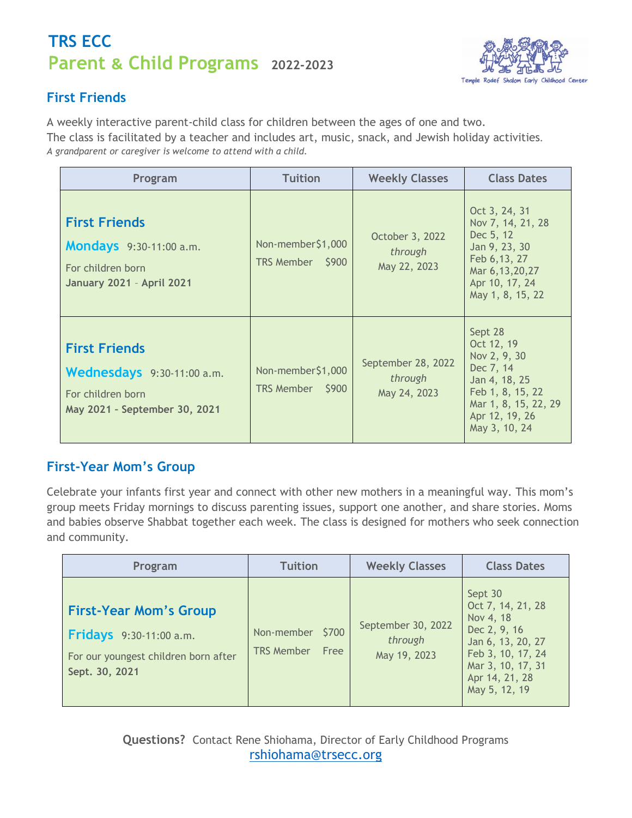## **Parent & Child Programs 2022-2023 TRS ECC**



## **First Friends**

A weekly interactive parent-child class for children between the ages of one and two. The class is facilitated by a teacher and includes art, music, snack, and Jewish holiday activities*. A grandparent or caregiver is welcome to attend with a child.*

| Program                                                                                                         | <b>Tuition</b>                        | <b>Weekly Classes</b>                         | <b>Class Dates</b>                                                                                                                                 |
|-----------------------------------------------------------------------------------------------------------------|---------------------------------------|-----------------------------------------------|----------------------------------------------------------------------------------------------------------------------------------------------------|
| <b>First Friends</b><br><b>Mondays</b> 9:30-11:00 a.m.<br>For children born<br><b>January 2021 - April 2021</b> | Non-member\$1,000<br>TRS Member \$900 | October 3, 2022<br>through<br>May 22, 2023    | Oct 3, 24, 31<br>Nov 7, 14, 21, 28<br>Dec 5, 12<br>Jan 9, 23, 30<br>Feb 6, 13, 27<br>Mar 6, 13, 20, 27<br>Apr 10, 17, 24<br>May 1, 8, 15, 22       |
| <b>First Friends</b><br>Wednesdays 9:30-11:00 a.m.<br>For children born<br>May 2021 - September 30, 2021        | Non-member\$1,000<br>TRS Member \$900 | September 28, 2022<br>through<br>May 24, 2023 | Sept 28<br>Oct 12, 19<br>Nov 2, 9, 30<br>Dec 7, 14<br>Jan 4, 18, 25<br>Feb 1, 8, 15, 22<br>Mar 1, 8, 15, 22, 29<br>Apr 12, 19, 26<br>May 3, 10, 24 |

## **First-Year Mom's Group**

Celebrate your infants first year and connect with other new mothers in a meaningful way. This mom's group meets Friday mornings to discuss parenting issues, support one another, and share stories. Moms and babies observe Shabbat together each week. The class is designed for mothers who seek connection and community.

| Program                                                                                                                   | <b>Tuition</b>                                          | <b>Weekly Classes</b>                         | <b>Class Dates</b>                                                                                                                                          |
|---------------------------------------------------------------------------------------------------------------------------|---------------------------------------------------------|-----------------------------------------------|-------------------------------------------------------------------------------------------------------------------------------------------------------------|
| <b>First-Year Mom's Group</b><br><b>Fridays</b> 9:30-11:00 a.m.<br>For our youngest children born after<br>Sept. 30, 2021 | \$700<br>Non-member<br><b>TRS Member</b><br><b>Free</b> | September 30, 2022<br>through<br>May 19, 2023 | Sept 30<br>Oct 7, 14, 21, 28<br>Nov 4, 18<br>Dec 2, 9, 16<br>Jan 6, 13, 20, 27<br>Feb 3, 10, 17, 24<br>Mar 3, 10, 17, 31<br>Apr 14, 21, 28<br>May 5, 12, 19 |

**Questions?** Contact Rene Shiohama, Director of Early Childhood Programs [rshiohama@trsecc.org](mailto:rshiohama@trsecc.org)